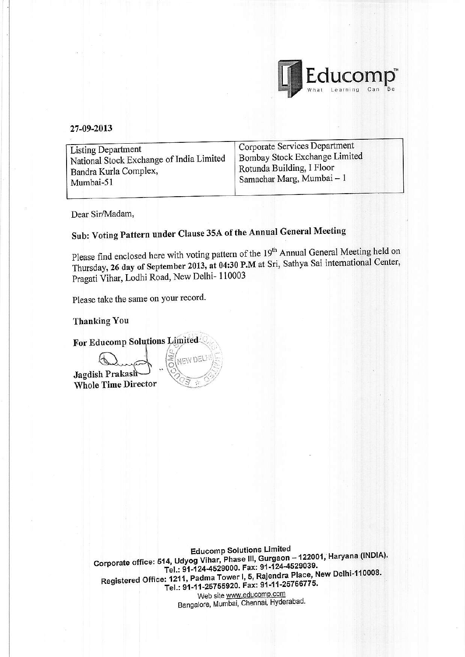

#### 27-09-2013

| Rotunda Building, I Floor<br>Bandra Kurla Complex,<br>Samachar Marg, Mumbai - 1<br>Mumbai-51 | <b>Listing Department</b><br>National Stock Exchange of India Limited | Corporate Services Department<br>Bombay Stock Exchange Limited |
|----------------------------------------------------------------------------------------------|-----------------------------------------------------------------------|----------------------------------------------------------------|
|----------------------------------------------------------------------------------------------|-----------------------------------------------------------------------|----------------------------------------------------------------|

Dear Sir/Madam,

# Sub: Voting Pattern under Clause 35A of the Annual General Meeting

Please find enclosed here with voting pattern of the 19<sup>th</sup> Annual General Meeting held on Thursday, 26 day of September 2013, at 04:30 P.M at Sri, Sathya Sai international Center, Pragati Vihar, Lodhi Road, New Delhi- 110003

Please take the same on your record.

**Thanking You** 

For Educomp Solutions Limited

Jagdish Prakash **Whole Time Director** 



**Educomp Solutions Limited** Corporate office: 514, Udyog Vihar, Phase III, Gurgaon - 122001, Haryana (INDIA). Tel.: 91-124-4529000. Fax: 91-124-4529039. Registered Office: 1211, Padma Tower I, 5, Rajendra Place, New Delhi-110008. Tel.: 91-11-25755920. Fax: 91-11-25766775. Web site www.educomp.com Bangalore, Mumbai, Chennai, Hyderabad.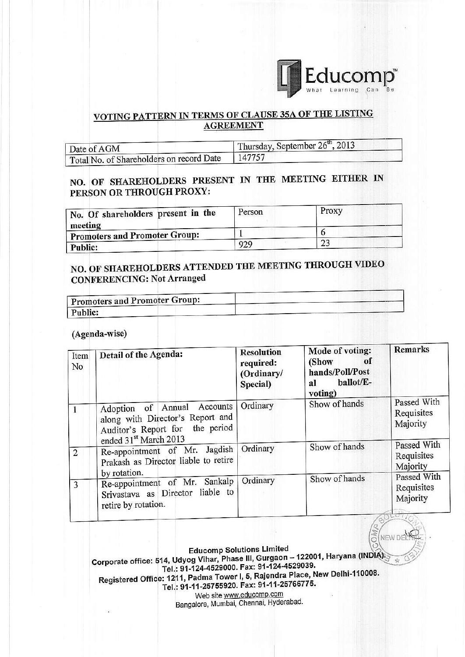

â

NEW DE

### VOTING PATTERN IN TERMS OF CLAUSE 35A OF THE LISTING **AGREEMENT**

| Date of AGM                              | Thursday, September $26th$ , 2013 |  |  |
|------------------------------------------|-----------------------------------|--|--|
| Total No. of Shareholders on record Date | 147757                            |  |  |

### NO. OF SHAREHOLDERS PRESENT IN THE MEETING EITHER IN PERSON OR THROUGH PROXY:

| No. Of shareholders present in the<br>meeting | Person | Proxy |
|-----------------------------------------------|--------|-------|
| <b>Promoters and Promoter Group:</b>          |        |       |
| Public:                                       | 929    |       |

## NO. OF SHAREHOLDERS ATTENDED THE MEETING THROUGH VIDEO **CONFERENCING: Not Arranged**

| <b>Promoters and Promoter Group:</b> |  |
|--------------------------------------|--|
| Public:                              |  |

#### (Agenda-wise)

| Item<br>No     | Detail of the Agenda:                                                                                                       | <b>Resolution</b><br>required:<br>(Ordinary/<br>Special) | Mode of voting:<br>of<br>(Show<br>hands/Poll/Post<br>ballot/E-<br>al<br>voting) | Remarks                                                   |
|----------------|-----------------------------------------------------------------------------------------------------------------------------|----------------------------------------------------------|---------------------------------------------------------------------------------|-----------------------------------------------------------|
| -1             | Adoption of Annual Accounts<br>along with Director's Report and<br>Auditor's Report for the period<br>ended 31st March 2013 | Ordinary                                                 | Show of hands                                                                   | Passed With<br>Requisites<br>Majority                     |
| $\overline{2}$ | Re-appointment of Mr. Jagdish<br>Prakash as Director liable to retire                                                       | Ordinary                                                 | Show of hands                                                                   | Passed With<br>Requisites<br>Majority                     |
| 3              | by rotation.<br>Re-appointment of Mr. Sankalp<br>Srivastava as Director liable to<br>retire by rotation.                    | Ordinary                                                 | Show of hands                                                                   | Passed With<br>Requisites<br>Majority<br>$-16.44 - 16.00$ |

**Educomp Solutions Limited** Corporate office: 514, Udyog Vihar, Phase III, Gurgaon - 122001, Haryana (INDIA) Tel.: 91-124-4529000. Fax: 91-124-4529039. Registered Office: 1211, Padma Tower I, 5, Rajendra Place, New Delhi-110008. Tel.: 91-11-25755920. Fax: 91-11-25766775.

Web site www.educomp.com Bangalore, Mumbai, Chennai, Hyderabad.